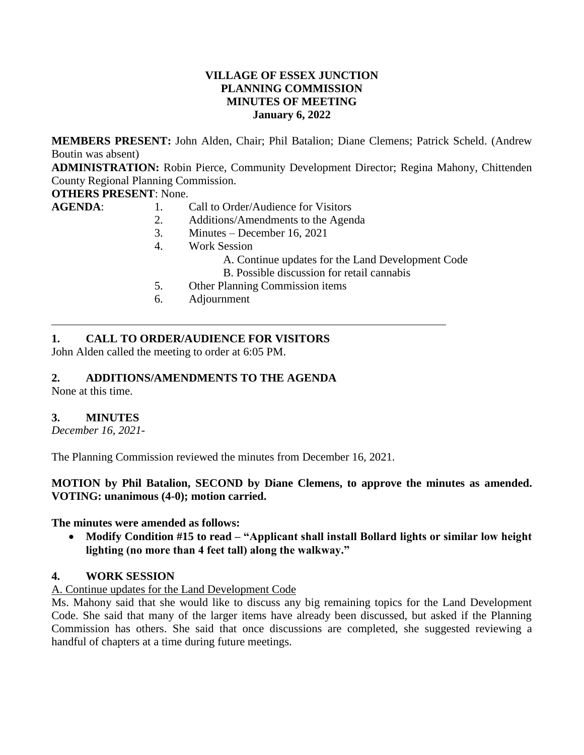### **VILLAGE OF ESSEX JUNCTION PLANNING COMMISSION MINUTES OF MEETING January 6, 2022**

**MEMBERS PRESENT:** John Alden, Chair; Phil Batalion; Diane Clemens; Patrick Scheld. (Andrew Boutin was absent)

**ADMINISTRATION:** Robin Pierce, Community Development Director; Regina Mahony, Chittenden County Regional Planning Commission.

# **OTHERS PRESENT**: None.

- **AGENDA:** 1. Call to Order/Audience for Visitors
	- 2. Additions/Amendments to the Agenda
	- 3. Minutes December 16, 2021
	- 4. Work Session
		- A. Continue updates for the Land Development Code
		- B. Possible discussion for retail cannabis
	- 5. Other Planning Commission items
	- 6. Adjournment

# **1. CALL TO ORDER/AUDIENCE FOR VISITORS**

John Alden called the meeting to order at 6:05 PM.

# **2. ADDITIONS/AMENDMENTS TO THE AGENDA**

None at this time.

### **3. MINUTES**

*December 16, 2021-*

The Planning Commission reviewed the minutes from December 16, 2021.

### **MOTION by Phil Batalion, SECOND by Diane Clemens, to approve the minutes as amended. VOTING: unanimous (4-0); motion carried.**

#### **The minutes were amended as follows:**

 **Modify Condition #15 to read – "Applicant shall install Bollard lights or similar low height lighting (no more than 4 feet tall) along the walkway."**

#### **4. WORK SESSION**

#### A. Continue updates for the Land Development Code

Ms. Mahony said that she would like to discuss any big remaining topics for the Land Development Code. She said that many of the larger items have already been discussed, but asked if the Planning Commission has others. She said that once discussions are completed, she suggested reviewing a handful of chapters at a time during future meetings.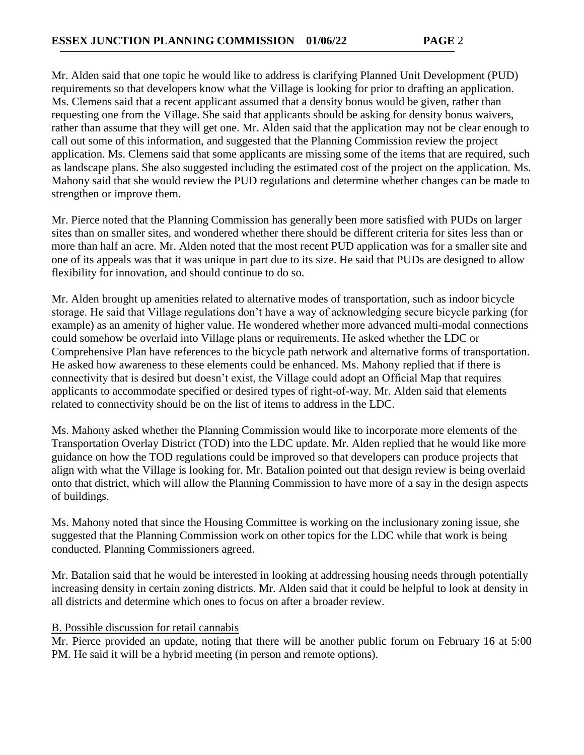Mr. Alden said that one topic he would like to address is clarifying Planned Unit Development (PUD) requirements so that developers know what the Village is looking for prior to drafting an application. Ms. Clemens said that a recent applicant assumed that a density bonus would be given, rather than requesting one from the Village. She said that applicants should be asking for density bonus waivers, rather than assume that they will get one. Mr. Alden said that the application may not be clear enough to call out some of this information, and suggested that the Planning Commission review the project application. Ms. Clemens said that some applicants are missing some of the items that are required, such as landscape plans. She also suggested including the estimated cost of the project on the application. Ms. Mahony said that she would review the PUD regulations and determine whether changes can be made to strengthen or improve them.

Mr. Pierce noted that the Planning Commission has generally been more satisfied with PUDs on larger sites than on smaller sites, and wondered whether there should be different criteria for sites less than or more than half an acre. Mr. Alden noted that the most recent PUD application was for a smaller site and one of its appeals was that it was unique in part due to its size. He said that PUDs are designed to allow flexibility for innovation, and should continue to do so.

Mr. Alden brought up amenities related to alternative modes of transportation, such as indoor bicycle storage. He said that Village regulations don't have a way of acknowledging secure bicycle parking (for example) as an amenity of higher value. He wondered whether more advanced multi-modal connections could somehow be overlaid into Village plans or requirements. He asked whether the LDC or Comprehensive Plan have references to the bicycle path network and alternative forms of transportation. He asked how awareness to these elements could be enhanced. Ms. Mahony replied that if there is connectivity that is desired but doesn't exist, the Village could adopt an Official Map that requires applicants to accommodate specified or desired types of right-of-way. Mr. Alden said that elements related to connectivity should be on the list of items to address in the LDC.

Ms. Mahony asked whether the Planning Commission would like to incorporate more elements of the Transportation Overlay District (TOD) into the LDC update. Mr. Alden replied that he would like more guidance on how the TOD regulations could be improved so that developers can produce projects that align with what the Village is looking for. Mr. Batalion pointed out that design review is being overlaid onto that district, which will allow the Planning Commission to have more of a say in the design aspects of buildings.

Ms. Mahony noted that since the Housing Committee is working on the inclusionary zoning issue, she suggested that the Planning Commission work on other topics for the LDC while that work is being conducted. Planning Commissioners agreed.

Mr. Batalion said that he would be interested in looking at addressing housing needs through potentially increasing density in certain zoning districts. Mr. Alden said that it could be helpful to look at density in all districts and determine which ones to focus on after a broader review.

### B. Possible discussion for retail cannabis

Mr. Pierce provided an update, noting that there will be another public forum on February 16 at 5:00 PM. He said it will be a hybrid meeting (in person and remote options).